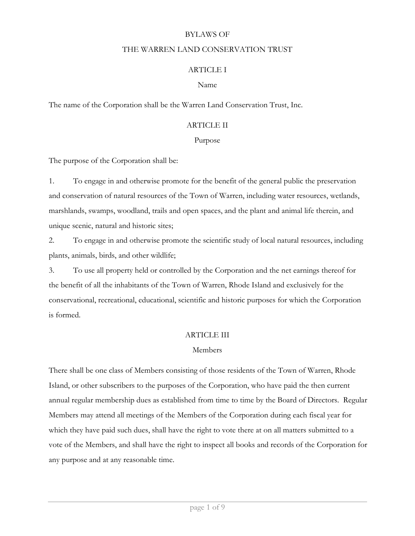### BYLAWS OF

#### THE WARREN LAND CONSERVATION TRUST

### ARTICLE I

### Name

The name of the Corporation shall be the Warren Land Conservation Trust, Inc.

### ARTICLE II

### Purpose

The purpose of the Corporation shall be:

1. To engage in and otherwise promote for the benefit of the general public the preservation and conservation of natural resources of the Town of Warren, including water resources, wetlands, marshlands, swamps, woodland, trails and open spaces, and the plant and animal life therein, and unique scenic, natural and historic sites;

2. To engage in and otherwise promote the scientific study of local natural resources, including plants, animals, birds, and other wildlife;

3. To use all property held or controlled by the Corporation and the net earnings thereof for the benefit of all the inhabitants of the Town of Warren, Rhode Island and exclusively for the conservational, recreational, educational, scientific and historic purposes for which the Corporation is formed.

### ARTICLE III

### Members

There shall be one class of Members consisting of those residents of the Town of Warren, Rhode Island, or other subscribers to the purposes of the Corporation, who have paid the then current annual regular membership dues as established from time to time by the Board of Directors. Regular Members may attend all meetings of the Members of the Corporation during each fiscal year for which they have paid such dues, shall have the right to vote there at on all matters submitted to a vote of the Members, and shall have the right to inspect all books and records of the Corporation for any purpose and at any reasonable time.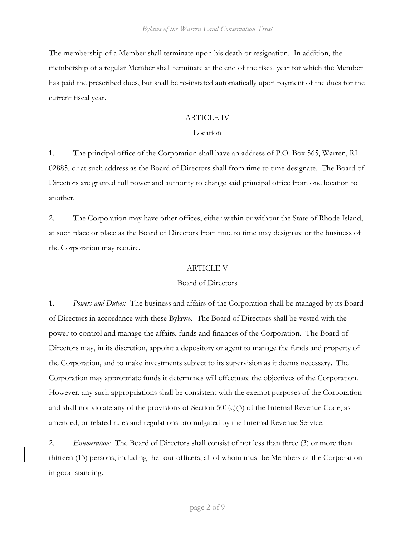The membership of a Member shall terminate upon his death or resignation. In addition, the membership of a regular Member shall terminate at the end of the fiscal year for which the Member has paid the prescribed dues, but shall be re-instated automatically upon payment of the dues for the current fiscal year.

## ARTICLE IV

## Location

1. The principal office of the Corporation shall have an address of P.O. Box 565, Warren, RI 02885, or at such address as the Board of Directors shall from time to time designate. The Board of Directors are granted full power and authority to change said principal office from one location to another.

2. The Corporation may have other offices, either within or without the State of Rhode Island, at such place or place as the Board of Directors from time to time may designate or the business of the Corporation may require.

### ARTICLE V

# Board of Directors

1. *Powers and Duties:* The business and affairs of the Corporation shall be managed by its Board of Directors in accordance with these Bylaws. The Board of Directors shall be vested with the power to control and manage the affairs, funds and finances of the Corporation. The Board of Directors may, in its discretion, appoint a depository or agent to manage the funds and property of the Corporation, and to make investments subject to its supervision as it deems necessary. The Corporation may appropriate funds it determines will effectuate the objectives of the Corporation. However, any such appropriations shall be consistent with the exempt purposes of the Corporation and shall not violate any of the provisions of Section  $501(c)(3)$  of the Internal Revenue Code, as amended, or related rules and regulations promulgated by the Internal Revenue Service.

2. *Enumeration:* The Board of Directors shall consist of not less than three (3) or more than thirteen (13) persons, including the four officers, all of whom must be Members of the Corporation in good standing.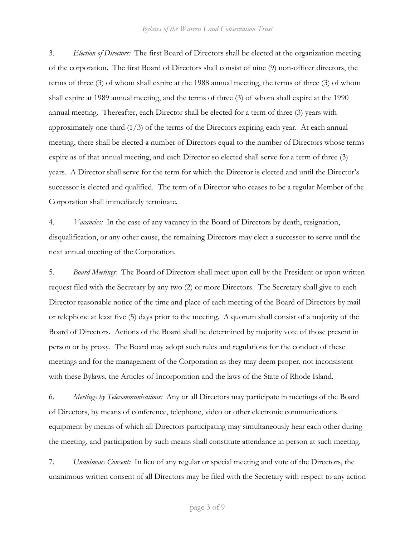3. *Election of Directors:* The first Board of Directors shall be elected at the organization meeting of the corporation. The first Board of Directors shall consist of nine (9) non-officer directors, the terms of three (3) of whom shall expire at the 1988 annual meeting, the terms of three (3) of whom shall expire at 1989 annual meeting, and the terms of three (3) of whom shall expire at the 1990 annual meeting. Thereafter, each Director shall be elected for a term of three (3) years with approximately one-third  $(1/3)$  of the terms of the Directors expiring each year. At each annual meeting, there shall be elected a number of Directors equal to the number of Directors whose terms expire as of that annual meeting, and each Director so elected shall serve for a term of three (3) years. A Director shall serve for the term for which the Director is elected and until the Director's successor is elected and qualified. The term of a Director who ceases to be a regular Member of the Corporation shall immediately terminate.

4. *Vacancies:* In the case of any vacancy in the Board of Directors by death, resignation, disqualification, or any other cause, the remaining Directors may elect a successor to serve until the next annual meeting of the Corporation.

5. *Board Meetings:* The Board of Directors shall meet upon call by the President or upon written request filed with the Secretary by any two (2) or more Directors. The Secretary shall give to each Director reasonable notice of the time and place of each meeting of the Board of Directors by mail or telephone at least five (5) days prior to the meeting. A quorum shall consist of a majority of the Board of Directors. Actions of the Board shall be determined by majority vote of those present in person or by proxy. The Board may adopt such rules and regulations for the conduct of these meetings and for the management of the Corporation as they may deem proper, not inconsistent with these Bylaws, the Articles of Incorporation and the laws of the State of Rhode Island.

6. *Meetings by Telecommunications:*Any or all Directors may participate in meetings of the Board of Directors, by means of conference, telephone, video or other electronic communications equipment by means of which all Directors participating may simultaneously hear each other during the meeting, and participation by such means shall constitute attendance in person at such meeting.

7. *Unanimous Consent:* In lieu of any regular or special meeting and vote of the Directors, the unanimous written consent of all Directors may be filed with the Secretary with respect to any action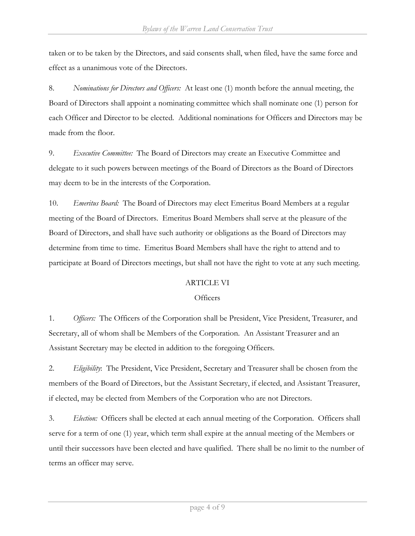taken or to be taken by the Directors, and said consents shall, when filed, have the same force and effect as a unanimous vote of the Directors.

8. *Nominations for Directors and Officers:* At least one (1) month before the annual meeting, the Board of Directors shall appoint a nominating committee which shall nominate one (1) person for each Officer and Director to be elected. Additional nominations for Officers and Directors may be made from the floor.

9. *Executive Committee:* The Board of Directors may create an Executive Committee and delegate to it such powers between meetings of the Board of Directors as the Board of Directors may deem to be in the interests of the Corporation.

10. *Emeritus Board:* The Board of Directors may elect Emeritus Board Members at a regular meeting of the Board of Directors. Emeritus Board Members shall serve at the pleasure of the Board of Directors, and shall have such authority or obligations as the Board of Directors may determine from time to time. Emeritus Board Members shall have the right to attend and to participate at Board of Directors meetings, but shall not have the right to vote at any such meeting.

# ARTICLE VI

### **Officers**

1. *Officers:* The Officers of the Corporation shall be President, Vice President, Treasurer, and Secretary, all of whom shall be Members of the Corporation. An Assistant Treasurer and an Assistant Secretary may be elected in addition to the foregoing Officers.

2. *Eligibility*: The President, Vice President, Secretary and Treasurer shall be chosen from the members of the Board of Directors, but the Assistant Secretary, if elected, and Assistant Treasurer, if elected, may be elected from Members of the Corporation who are not Directors.

3. *Election:* Officers shall be elected at each annual meeting of the Corporation. Officers shall serve for a term of one (1) year, which term shall expire at the annual meeting of the Members or until their successors have been elected and have qualified. There shall be no limit to the number of terms an officer may serve.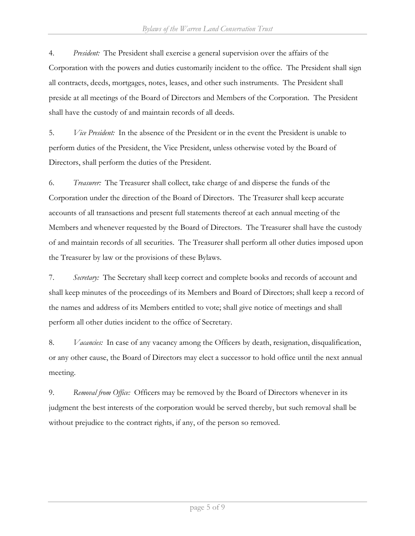4. *President:* The President shall exercise a general supervision over the affairs of the Corporation with the powers and duties customarily incident to the office. The President shall sign all contracts, deeds, mortgages, notes, leases, and other such instruments. The President shall preside at all meetings of the Board of Directors and Members of the Corporation. The President shall have the custody of and maintain records of all deeds.

5. *Vice President:* In the absence of the President or in the event the President is unable to perform duties of the President, the Vice President, unless otherwise voted by the Board of Directors, shall perform the duties of the President.

6. *Treasurer:* The Treasurer shall collect, take charge of and disperse the funds of the Corporation under the direction of the Board of Directors. The Treasurer shall keep accurate accounts of all transactions and present full statements thereof at each annual meeting of the Members and whenever requested by the Board of Directors. The Treasurer shall have the custody of and maintain records of all securities. The Treasurer shall perform all other duties imposed upon the Treasurer by law or the provisions of these Bylaws.

7. *Secretary:* The Secretary shall keep correct and complete books and records of account and shall keep minutes of the proceedings of its Members and Board of Directors; shall keep a record of the names and address of its Members entitled to vote; shall give notice of meetings and shall perform all other duties incident to the office of Secretary.

8. *Vacancies:* In case of any vacancy among the Officers by death, resignation, disqualification, or any other cause, the Board of Directors may elect a successor to hold office until the next annual meeting.

9. *Removal from Office:* Officers may be removed by the Board of Directors whenever in its judgment the best interests of the corporation would be served thereby, but such removal shall be without prejudice to the contract rights, if any, of the person so removed.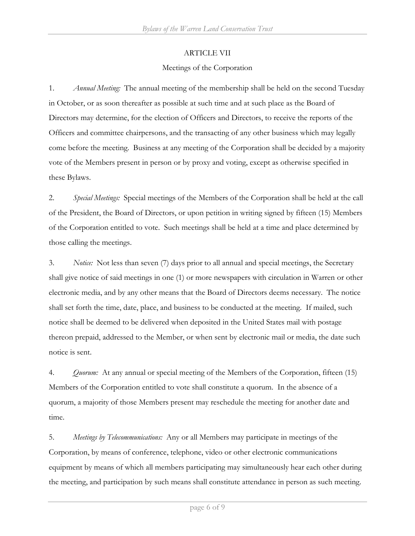### ARTICLE VII

## Meetings of the Corporation

1. *Annual Meeting:* The annual meeting of the membership shall be held on the second Tuesday in October, or as soon thereafter as possible at such time and at such place as the Board of Directors may determine, for the election of Officers and Directors, to receive the reports of the Officers and committee chairpersons, and the transacting of any other business which may legally come before the meeting. Business at any meeting of the Corporation shall be decided by a majority vote of the Members present in person or by proxy and voting, except as otherwise specified in these Bylaws.

2. *Special Meetings:* Special meetings of the Members of the Corporation shall be held at the call of the President, the Board of Directors, or upon petition in writing signed by fifteen (15) Members of the Corporation entitled to vote. Such meetings shall be held at a time and place determined by those calling the meetings.

3. *Notice:* Not less than seven (7) days prior to all annual and special meetings, the Secretary shall give notice of said meetings in one (1) or more newspapers with circulation in Warren or other electronic media, and by any other means that the Board of Directors deems necessary. The notice shall set forth the time, date, place, and business to be conducted at the meeting. If mailed, such notice shall be deemed to be delivered when deposited in the United States mail with postage thereon prepaid, addressed to the Member, or when sent by electronic mail or media, the date such notice is sent.

4. *Quorum:* At any annual or special meeting of the Members of the Corporation, fifteen (15) Members of the Corporation entitled to vote shall constitute a quorum. In the absence of a quorum, a majority of those Members present may reschedule the meeting for another date and time.

5. *Meetings by Telecommunications:* Any or all Members may participate in meetings of the Corporation, by means of conference, telephone, video or other electronic communications equipment by means of which all members participating may simultaneously hear each other during the meeting, and participation by such means shall constitute attendance in person as such meeting.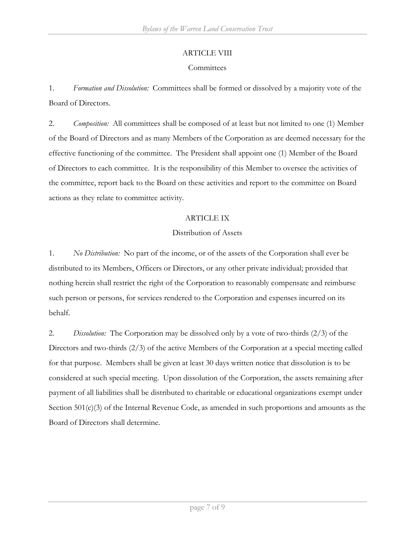# ARTICLE VIII

# **Committees**

1. *Formation and Dissolution:* Committees shall be formed or dissolved by a majority vote of the Board of Directors.

2. *Composition:* All committees shall be composed of at least but not limited to one (1) Member of the Board of Directors and as many Members of the Corporation as are deemed necessary for the effective functioning of the committee. The President shall appoint one (1) Member of the Board of Directors to each committee. It is the responsibility of this Member to oversee the activities of the committee, report back to the Board on these activities and report to the committee on Board actions as they relate to committee activity.

# ARTICLE IX

# Distribution of Assets

1. *No Distribution:* No part of the income, or of the assets of the Corporation shall ever be distributed to its Members, Officers or Directors, or any other private individual; provided that nothing herein shall restrict the right of the Corporation to reasonably compensate and reimburse such person or persons, for services rendered to the Corporation and expenses incurred on its behalf.

2. *Dissolution:* The Corporation may be dissolved only by a vote of two-thirds (2/3) of the Directors and two-thirds (2/3) of the active Members of the Corporation at a special meeting called for that purpose. Members shall be given at least 30 days written notice that dissolution is to be considered at such special meeting. Upon dissolution of the Corporation, the assets remaining after payment of all liabilities shall be distributed to charitable or educational organizations exempt under Section 501(c)(3) of the Internal Revenue Code, as amended in such proportions and amounts as the Board of Directors shall determine.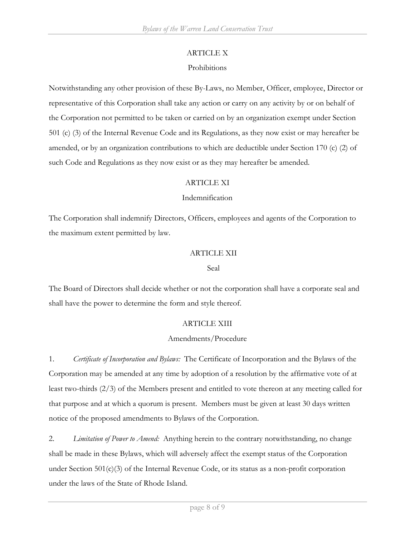## ARTICLE X

## Prohibitions

Notwithstanding any other provision of these By-Laws, no Member, Officer, employee, Director or representative of this Corporation shall take any action or carry on any activity by or on behalf of the Corporation not permitted to be taken or carried on by an organization exempt under Section 501 (c) (3) of the Internal Revenue Code and its Regulations, as they now exist or may hereafter be amended, or by an organization contributions to which are deductible under Section 170 (c) (2) of such Code and Regulations as they now exist or as they may hereafter be amended.

## ARTICLE XI

## Indemnification

The Corporation shall indemnify Directors, Officers, employees and agents of the Corporation to the maximum extent permitted by law.

## ARTICLE XII

### Seal

The Board of Directors shall decide whether or not the corporation shall have a corporate seal and shall have the power to determine the form and style thereof.

### ARTICLE XIII

# Amendments/Procedure

1. *Certificate of Incorporation and Bylaws:* The Certificate of Incorporation and the Bylaws of the Corporation may be amended at any time by adoption of a resolution by the affirmative vote of at least two-thirds (2/3) of the Members present and entitled to vote thereon at any meeting called for that purpose and at which a quorum is present. Members must be given at least 30 days written notice of the proposed amendments to Bylaws of the Corporation.

2. *Limitation of Power to Amend:* Anything herein to the contrary notwithstanding, no change shall be made in these Bylaws, which will adversely affect the exempt status of the Corporation under Section 501(c)(3) of the Internal Revenue Code, or its status as a non-profit corporation under the laws of the State of Rhode Island.